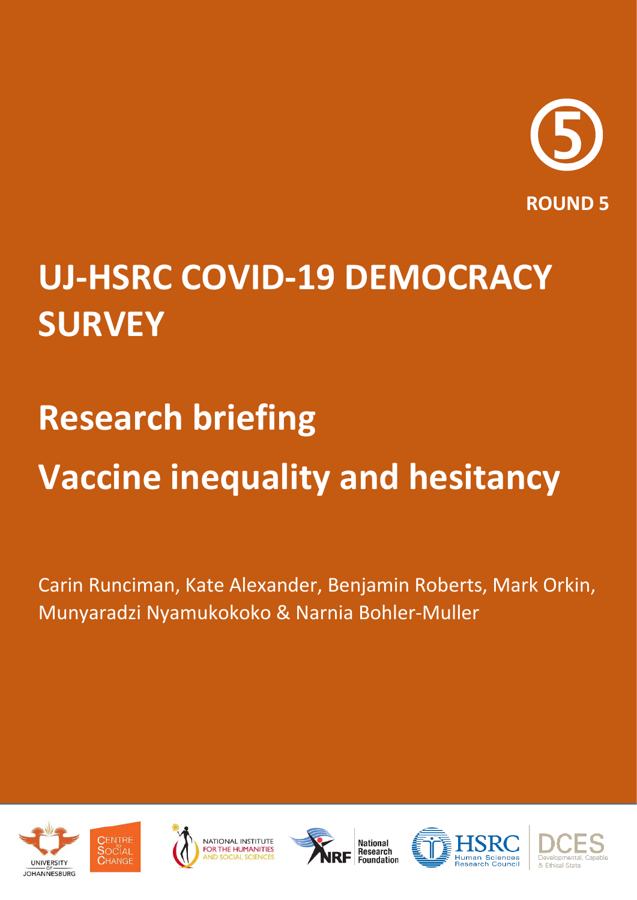

## **UJ-HSRC COVID-19 DEMOCRACY SURVEY**

# **Research briefing Vaccine inequality and hesitancy**

Carin Runciman, Kate Alexander, Benjamin Roberts, Mark Orkin, Munyaradzi Nyamukokoko & Narnia Bohler-Muller











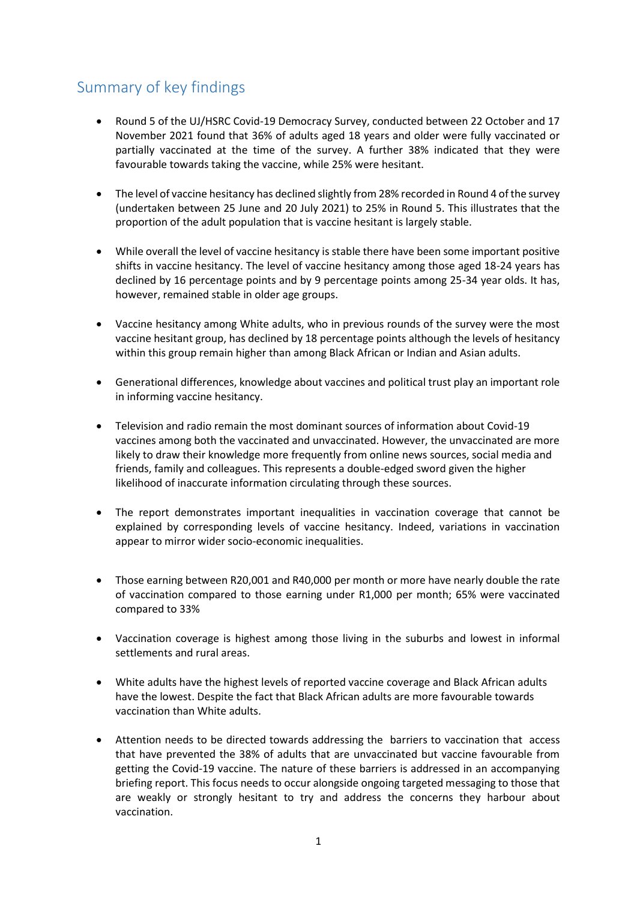## Summary of key findings

- Round 5 of the UJ/HSRC Covid-19 Democracy Survey, conducted between 22 October and 17 November 2021 found that 36% of adults aged 18 years and older were fully vaccinated or partially vaccinated at the time of the survey. A further 38% indicated that they were favourable towards taking the vaccine, while 25% were hesitant.
- The level of vaccine hesitancy has declined slightly from 28% recorded in Round 4 of the survey (undertaken between 25 June and 20 July 2021) to 25% in Round 5. This illustrates that the proportion of the adult population that is vaccine hesitant is largely stable.
- While overall the level of vaccine hesitancy is stable there have been some important positive shifts in vaccine hesitancy. The level of vaccine hesitancy among those aged 18-24 years has declined by 16 percentage points and by 9 percentage points among 25-34 year olds. It has, however, remained stable in older age groups.
- Vaccine hesitancy among White adults, who in previous rounds of the survey were the most vaccine hesitant group, has declined by 18 percentage points although the levels of hesitancy within this group remain higher than among Black African or Indian and Asian adults.
- Generational differences, knowledge about vaccines and political trust play an important role in informing vaccine hesitancy.
- Television and radio remain the most dominant sources of information about Covid-19 vaccines among both the vaccinated and unvaccinated. However, the unvaccinated are more likely to draw their knowledge more frequently from online news sources, social media and friends, family and colleagues. This represents a double-edged sword given the higher likelihood of inaccurate information circulating through these sources.
- The report demonstrates important inequalities in vaccination coverage that cannot be explained by corresponding levels of vaccine hesitancy. Indeed, variations in vaccination appear to mirror wider socio-economic inequalities.
- Those earning between R20,001 and R40,000 per month or more have nearly double the rate of vaccination compared to those earning under R1,000 per month; 65% were vaccinated compared to 33%
- Vaccination coverage is highest among those living in the suburbs and lowest in informal settlements and rural areas.
- White adults have the highest levels of reported vaccine coverage and Black African adults have the lowest. Despite the fact that Black African adults are more favourable towards vaccination than White adults.
- Attention needs to be directed towards addressing the barriers to vaccination that access that have prevented the 38% of adults that are unvaccinated but vaccine favourable from getting the Covid-19 vaccine. The nature of these barriers is addressed in an accompanying briefing report. This focus needs to occur alongside ongoing targeted messaging to those that are weakly or strongly hesitant to try and address the concerns they harbour about vaccination.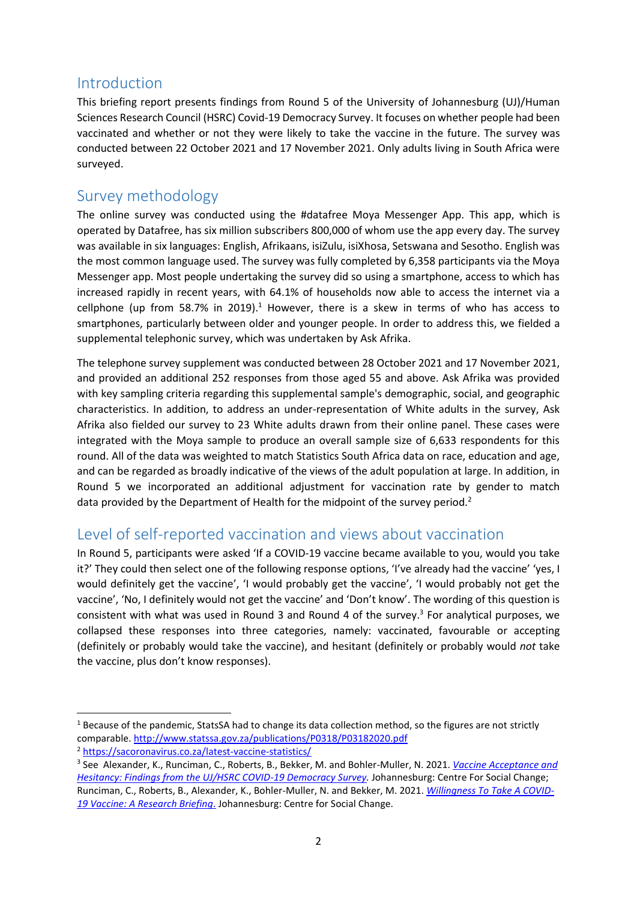## Introduction

This briefing report presents findings from Round 5 of the University of Johannesburg (UJ)/Human Sciences Research Council (HSRC) Covid-19 Democracy Survey. It focuses on whether people had been vaccinated and whether or not they were likely to take the vaccine in the future. The survey was conducted between 22 October 2021 and 17 November 2021. Only adults living in South Africa were surveyed.

## Survey methodology

The online survey was conducted using the #datafree Moya Messenger App. This app, which is operated by Datafree, has six million subscribers 800,000 of whom use the app every day. The survey was available in six languages: English, Afrikaans, isiZulu, isiXhosa, Setswana and Sesotho. English was the most common language used. The survey was fully completed by 6,358 participants via the Moya Messenger app. Most people undertaking the survey did so using a smartphone, access to which has increased rapidly in recent years, with 64.1% of households now able to access the internet via a cellphone (up from 58.7% in 2019).<sup>1</sup> However, there is a skew in terms of who has access to smartphones, particularly between older and younger people. In order to address this, we fielded a supplemental telephonic survey, which was undertaken by Ask Afrika.

The telephone survey supplement was conducted between 28 October 2021 and 17 November 2021, and provided an additional 252 responses from those aged 55 and above. Ask Afrika was provided with key sampling criteria regarding this supplemental sample's demographic, social, and geographic characteristics. In addition, to address an under-representation of White adults in the survey, Ask Afrika also fielded our survey to 23 White adults drawn from their online panel. These cases were integrated with the Moya sample to produce an overall sample size of 6,633 respondents for this round. All of the data was weighted to match Statistics South Africa data on race, education and age, and can be regarded as broadly indicative of the views of the adult population at large. In addition, in Round 5 we incorporated an additional adjustment for vaccination rate by gender to match data provided by the Department of Health for the midpoint of the survey period.<sup>2</sup>

## Level of self-reported vaccination and views about vaccination

In Round 5, participants were asked 'If a COVID-19 vaccine became available to you, would you take it?' They could then select one of the following response options, 'I've already had the vaccine' 'yes, I would definitely get the vaccine', 'I would probably get the vaccine', 'I would probably not get the vaccine', 'No, I definitely would not get the vaccine' and 'Don't know'. The wording of this question is consistent with what was used in Round 3 and Round 4 of the survey. $3$  For analytical purposes, we collapsed these responses into three categories, namely: vaccinated, favourable or accepting (definitely or probably would take the vaccine), and hesitant (definitely or probably would *not* take the vaccine, plus don't know responses).

1

 $1$  Because of the pandemic, StatsSA had to change its data collection method, so the figures are not strictly comparable. <http://www.statssa.gov.za/publications/P0318/P03182020.pdf>

<sup>2</sup> <https://sacoronavirus.co.za/latest-vaccine-statistics/>

<sup>3</sup> See Alexander, K., Runciman, C., Roberts, B., Bekker, M. and Bohler-Muller, N. 2021. *Vaccine [Acceptance and](http://www.hsrc.ac.za/uploads/pageContent/1045979/2021-08-18%20UJ-HSRC%20R4%20Report%201%20Vaccine%20acceptance.pdf)  [Hesitancy: Findings from the UJ/HSRC COVID-19 Democracy Survey.](http://www.hsrc.ac.za/uploads/pageContent/1045979/2021-08-18%20UJ-HSRC%20R4%20Report%201%20Vaccine%20acceptance.pdf)* Johannesburg: Centre For Social Change; Runciman, C., Roberts, B., Alexander, K., Bohler-Muller, N. and Bekker, M. 2021. *[Willingness To Take A COVID-](http://www.hsrc.ac.za/uploads/pageContent/1045085/2021-01-25%20Vaccine%20briefing%20(final).pdf)[19 Vaccine: A Research Briefing](http://www.hsrc.ac.za/uploads/pageContent/1045085/2021-01-25%20Vaccine%20briefing%20(final).pdf)*. Johannesburg: Centre for Social Change.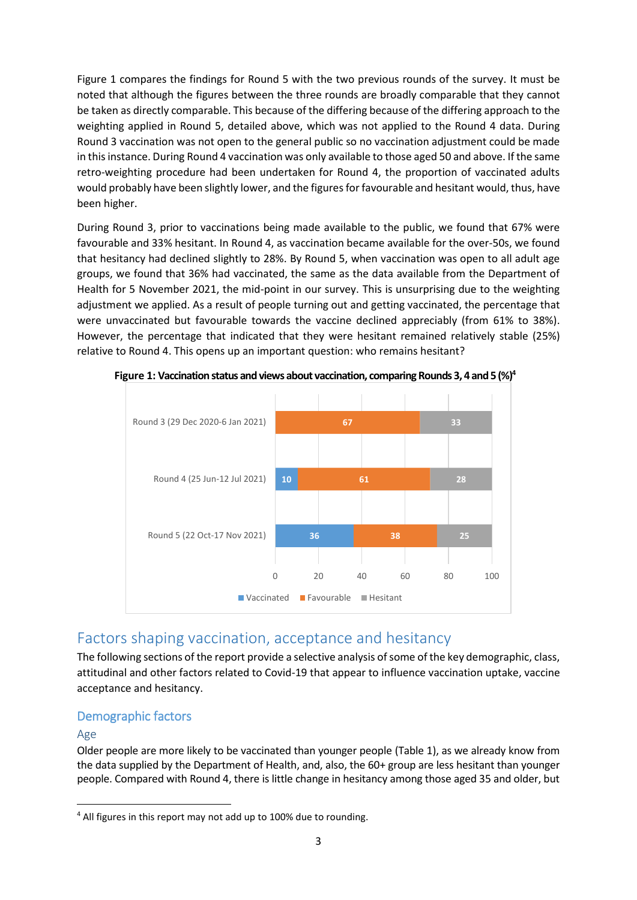Figure 1 compares the findings for Round 5 with the two previous rounds of the survey. It must be noted that although the figures between the three rounds are broadly comparable that they cannot be taken as directly comparable. This because of the differing because of the differing approach to the weighting applied in Round 5, detailed above, which was not applied to the Round 4 data. During Round 3 vaccination was not open to the general public so no vaccination adjustment could be made in this instance. During Round 4 vaccination was only available to those aged 50 and above. If the same retro-weighting procedure had been undertaken for Round 4, the proportion of vaccinated adults would probably have been slightly lower, and the figures for favourable and hesitant would, thus, have been higher.

During Round 3, prior to vaccinations being made available to the public, we found that 67% were favourable and 33% hesitant. In Round 4, as vaccination became available for the over-50s, we found that hesitancy had declined slightly to 28%. By Round 5, when vaccination was open to all adult age groups, we found that 36% had vaccinated, the same as the data available from the Department of Health for 5 November 2021, the mid-point in our survey. This is unsurprising due to the weighting adjustment we applied. As a result of people turning out and getting vaccinated, the percentage that were unvaccinated but favourable towards the vaccine declined appreciably (from 61% to 38%). However, the percentage that indicated that they were hesitant remained relatively stable (25%) relative to Round 4. This opens up an important question: who remains hesitant?



**Figure 1: Vaccination status and views about vaccination, comparing Rounds 3, 4 and 5 (%)<sup>4</sup>**

## Factors shaping vaccination, acceptance and hesitancy

The following sections of the report provide a selective analysis of some of the key demographic, class, attitudinal and other factors related to Covid-19 that appear to influence vaccination uptake, vaccine acceptance and hesitancy.

### Demographic factors

#### Age

**.** 

Older people are more likely to be vaccinated than younger people (Table 1), as we already know from the data supplied by the Department of Health, and, also, the 60+ group are less hesitant than younger people. Compared with Round 4, there is little change in hesitancy among those aged 35 and older, but

<sup>&</sup>lt;sup>4</sup> All figures in this report may not add up to 100% due to rounding.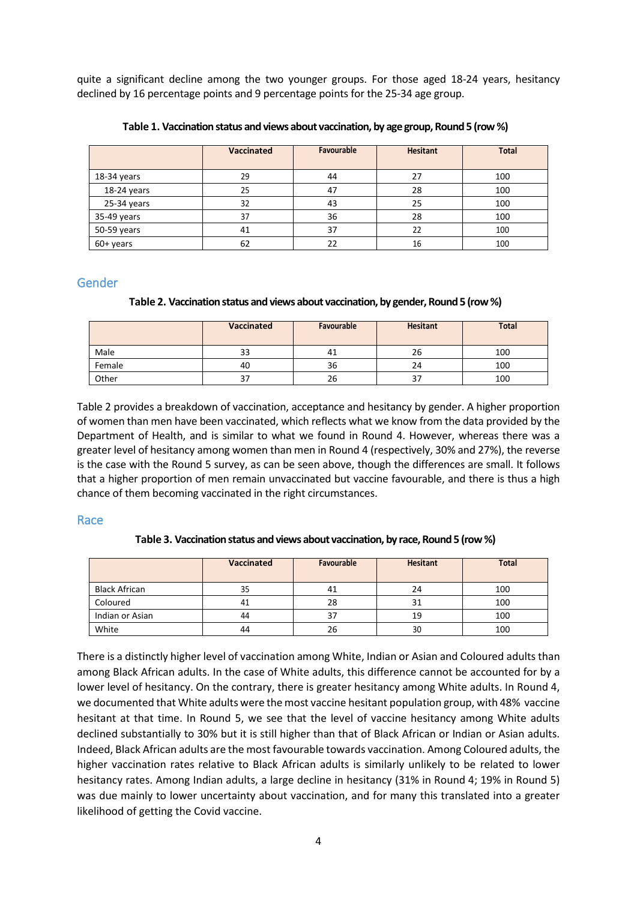quite a significant decline among the two younger groups. For those aged 18-24 years, hesitancy declined by 16 percentage points and 9 percentage points for the 25-34 age group.

|             | <b>Vaccinated</b> | Favourable | <b>Hesitant</b> | <b>Total</b> |
|-------------|-------------------|------------|-----------------|--------------|
| 18-34 years | 29                | 44         | 27              | 100          |
| 18-24 years | 25                | 47         | 28              | 100          |
| 25-34 years | 32                | 43         | 25              | 100          |
| 35-49 years | 37                | 36         | 28              | 100          |
| 50-59 years | 41                | 37         | 22              | 100          |
| 60+ years   | 62                | 22         | 16              | 100          |

**Table 1. Vaccination status and views about vaccination, by age group, Round 5 (row %)**

#### Gender

#### **Table 2. Vaccination status and views about vaccination, by gender, Round 5 (row %)**

|        | Vaccinated | Favourable | <b>Hesitant</b> | <b>Total</b> |
|--------|------------|------------|-----------------|--------------|
| Male   | 33         | 41         | 26              | 100          |
| Female | 40         | 36         | 24              | 100          |
| Other  | 37         | 26         | ر ڪ             | 100          |

Table 2 provides a breakdown of vaccination, acceptance and hesitancy by gender. A higher proportion of women than men have been vaccinated, which reflects what we know from the data provided by the Department of Health, and is similar to what we found in Round 4. However, whereas there was a greater level of hesitancy among women than men in Round 4 (respectively, 30% and 27%), the reverse is the case with the Round 5 survey, as can be seen above, though the differences are small. It follows that a higher proportion of men remain unvaccinated but vaccine favourable, and there is thus a high chance of them becoming vaccinated in the right circumstances.

#### Race

#### **Table 3. Vaccination status and views about vaccination, by race, Round 5 (row %)**

|                 | <b>Vaccinated</b> | <b>Favourable</b> | <b>Hesitant</b> | <b>Total</b> |
|-----------------|-------------------|-------------------|-----------------|--------------|
| Black African   | 35                | 41                | 24              | 100          |
| Coloured        | 41                | 28                |                 | 100          |
| Indian or Asian | 44                | 37                | 19              | 100          |
| White           | 44                | 26                | 30              | 100          |

There is a distinctly higher level of vaccination among White, Indian or Asian and Coloured adults than among Black African adults. In the case of White adults, this difference cannot be accounted for by a lower level of hesitancy. On the contrary, there is greater hesitancy among White adults. In Round 4, we documented that White adults were the most vaccine hesitant population group, with 48% vaccine hesitant at that time. In Round 5, we see that the level of vaccine hesitancy among White adults declined substantially to 30% but it is still higher than that of Black African or Indian or Asian adults. Indeed, Black African adults are the most favourable towards vaccination. Among Coloured adults, the higher vaccination rates relative to Black African adults is similarly unlikely to be related to lower hesitancy rates. Among Indian adults, a large decline in hesitancy (31% in Round 4; 19% in Round 5) was due mainly to lower uncertainty about vaccination, and for many this translated into a greater likelihood of getting the Covid vaccine.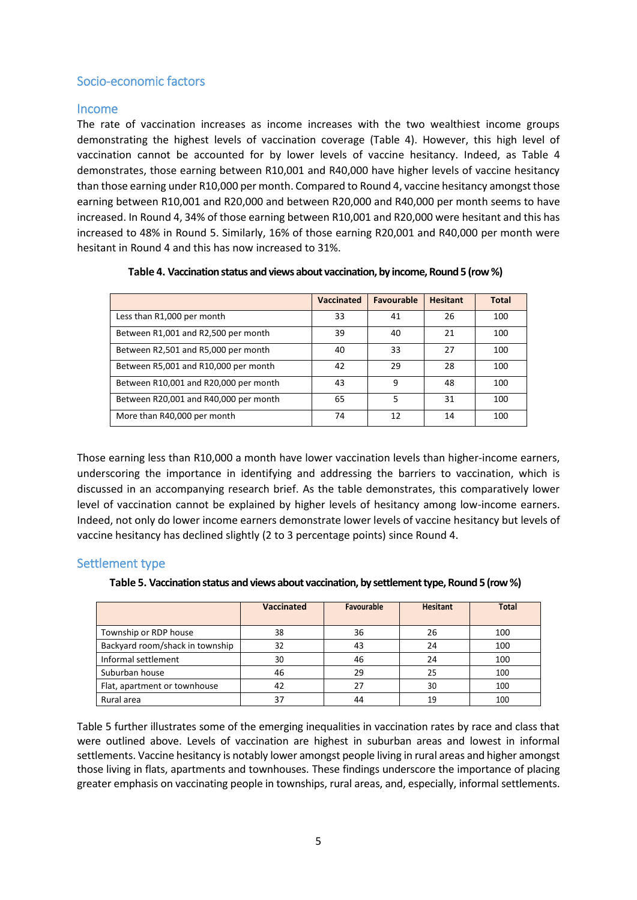#### Socio-economic factors

#### Income

The rate of vaccination increases as income increases with the two wealthiest income groups demonstrating the highest levels of vaccination coverage (Table 4). However, this high level of vaccination cannot be accounted for by lower levels of vaccine hesitancy. Indeed, as Table 4 demonstrates, those earning between R10,001 and R40,000 have higher levels of vaccine hesitancy than those earning under R10,000 per month. Compared to Round 4, vaccine hesitancy amongst those earning between R10,001 and R20,000 and between R20,000 and R40,000 per month seems to have increased. In Round 4, 34% of those earning between R10,001 and R20,000 were hesitant and this has increased to 48% in Round 5. Similarly, 16% of those earning R20,001 and R40,000 per month were hesitant in Round 4 and this has now increased to 31%.

|                                       | Vaccinated | Favourable | <b>Hesitant</b> | Total |
|---------------------------------------|------------|------------|-----------------|-------|
| Less than R1,000 per month            | 33         | 41         | 26              | 100   |
| Between R1,001 and R2,500 per month   | 39         | 40         | 21              | 100   |
| Between R2,501 and R5,000 per month   | 40         | 33         | 27              | 100   |
| Between R5,001 and R10,000 per month  | 42         | 29         | 28              | 100   |
| Between R10,001 and R20,000 per month | 43         | q          | 48              | 100   |
| Between R20,001 and R40,000 per month | 65         | 5          | 31              | 100   |
| More than R40,000 per month           | 74         | 12         | 14              | 100   |

#### **Table 4. Vaccination status and views about vaccination, by income, Round 5 (row %)**

Those earning less than R10,000 a month have lower vaccination levels than higher-income earners, underscoring the importance in identifying and addressing the barriers to vaccination, which is discussed in an accompanying research brief. As the table demonstrates, this comparatively lower level of vaccination cannot be explained by higher levels of hesitancy among low-income earners. Indeed, not only do lower income earners demonstrate lower levels of vaccine hesitancy but levels of vaccine hesitancy has declined slightly (2 to 3 percentage points) since Round 4.

#### Settlement type

Table 5. Vaccination status and views about vaccination, by settlement type, Round 5 (row %)

|                                 | <b>Vaccinated</b> | Favourable | <b>Hesitant</b> | <b>Total</b> |
|---------------------------------|-------------------|------------|-----------------|--------------|
|                                 |                   |            |                 |              |
| Township or RDP house           | 38                | 36         | 26              | 100          |
| Backyard room/shack in township | 32                | 43         | 24              | 100          |
| Informal settlement             | 30                | 46         | 24              | 100          |
| Suburban house                  | 46                | 29         | 25              | 100          |
| Flat, apartment or townhouse    | 42                | 27         | 30              | 100          |
| Rural area                      | 37                | 44         | 19              | 100          |

Table 5 further illustrates some of the emerging inequalities in vaccination rates by race and class that were outlined above. Levels of vaccination are highest in suburban areas and lowest in informal settlements. Vaccine hesitancy is notably lower amongst people living in rural areas and higher amongst those living in flats, apartments and townhouses. These findings underscore the importance of placing greater emphasis on vaccinating people in townships, rural areas, and, especially, informal settlements.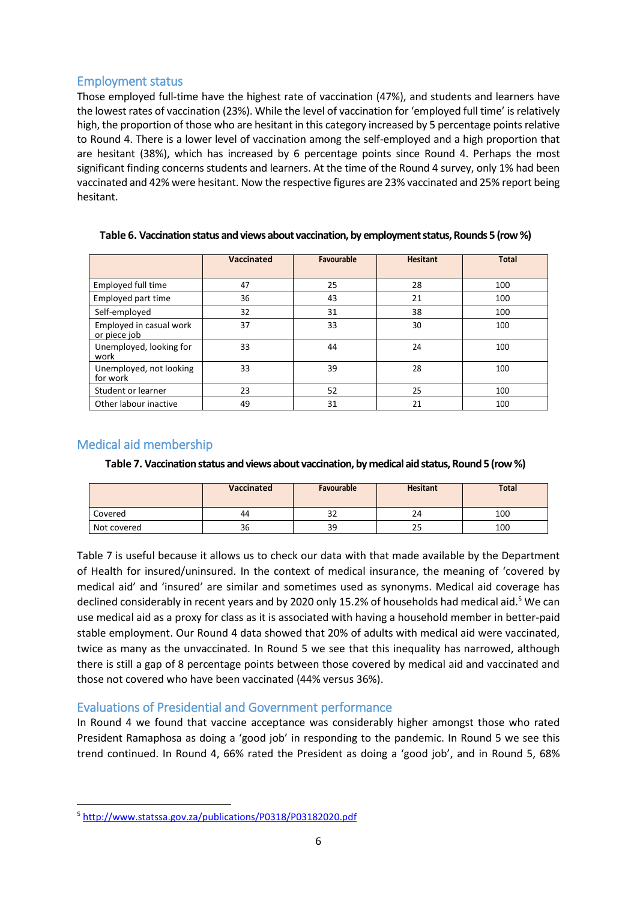#### Employment status

Those employed full-time have the highest rate of vaccination (47%), and students and learners have the lowest rates of vaccination (23%). While the level of vaccination for 'employed full time' is relatively high, the proportion of those who are hesitant in this category increased by 5 percentage points relative to Round 4. There is a lower level of vaccination among the self-employed and a high proportion that are hesitant (38%), which has increased by 6 percentage points since Round 4. Perhaps the most significant finding concerns students and learners. At the time of the Round 4 survey, only 1% had been vaccinated and 42% were hesitant. Now the respective figures are 23% vaccinated and 25% report being hesitant.

|                                         | <b>Vaccinated</b> | Favourable | <b>Hesitant</b> | <b>Total</b> |
|-----------------------------------------|-------------------|------------|-----------------|--------------|
|                                         |                   |            |                 |              |
| Employed full time                      | 47                | 25         | 28              | 100          |
| Employed part time                      | 36                | 43         | 21              | 100          |
| Self-employed                           | 32                | 31         | 38              | 100          |
| Employed in casual work<br>or piece job | 37                | 33         | 30              | 100          |
| Unemployed, looking for<br>work         | 33                | 44         | 24              | 100          |
| Unemployed, not looking<br>for work     | 33                | 39         | 28              | 100          |
| Student or learner                      | 23                | 52         | 25              | 100          |
| Other labour inactive                   | 49                | 31         | 21              | 100          |

**Table 6. Vaccination status and views about vaccination, by employment status, Rounds 5 (row %)**

#### Medical aid membership

**.** 

**Table 7. Vaccination status and views about vaccination, by medical aid status, Round 5 (row %)**

|             | <b>Vaccinated</b> | <b>Favourable</b> | <b>Hesitant</b> | <b>Total</b> |
|-------------|-------------------|-------------------|-----------------|--------------|
| Covered     | 44                | ےر                | 24              | 100          |
| Not covered | 36                | 39                | 25              | 100          |

Table 7 is useful because it allows us to check our data with that made available by the Department of Health for insured/uninsured. In the context of medical insurance, the meaning of 'covered by medical aid' and 'insured' are similar and sometimes used as synonyms. Medical aid coverage has declined considerably in recent years and by 2020 only 15.2% of households had medical aid.<sup>5</sup> We can use medical aid as a proxy for class as it is associated with having a household member in better-paid stable employment. Our Round 4 data showed that 20% of adults with medical aid were vaccinated, twice as many as the unvaccinated. In Round 5 we see that this inequality has narrowed, although there is still a gap of 8 percentage points between those covered by medical aid and vaccinated and those not covered who have been vaccinated (44% versus 36%).

#### Evaluations of Presidential and Government performance

In Round 4 we found that vaccine acceptance was considerably higher amongst those who rated President Ramaphosa as doing a 'good job' in responding to the pandemic. In Round 5 we see this trend continued. In Round 4, 66% rated the President as doing a 'good job', and in Round 5, 68%

<sup>5</sup> <http://www.statssa.gov.za/publications/P0318/P03182020.pdf>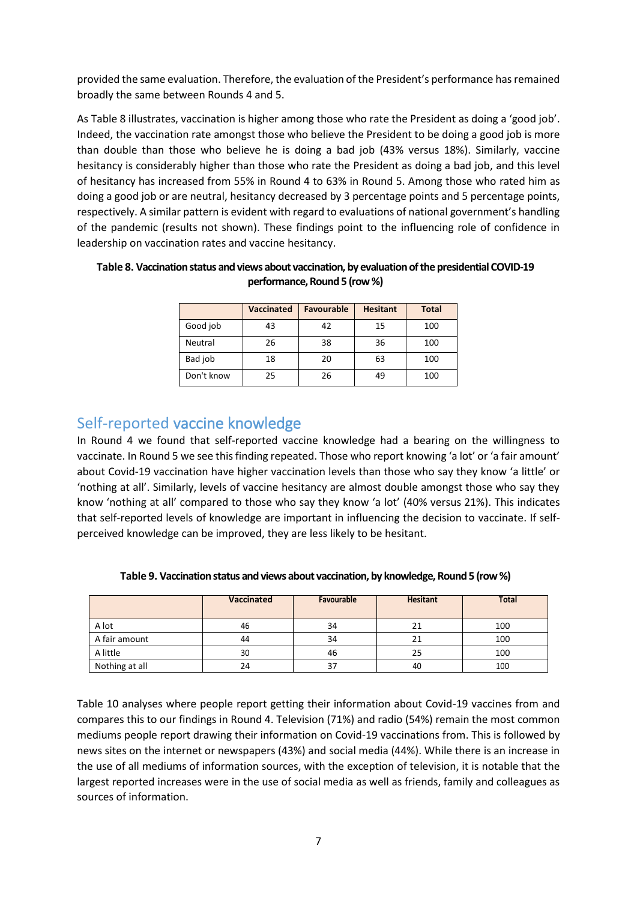provided the same evaluation. Therefore, the evaluation of the President's performance hasremained broadly the same between Rounds 4 and 5.

As Table 8 illustrates, vaccination is higher among those who rate the President as doing a 'good job'. Indeed, the vaccination rate amongst those who believe the President to be doing a good job is more than double than those who believe he is doing a bad job (43% versus 18%). Similarly, vaccine hesitancy is considerably higher than those who rate the President as doing a bad job, and this level of hesitancy has increased from 55% in Round 4 to 63% in Round 5. Among those who rated him as doing a good job or are neutral, hesitancy decreased by 3 percentage points and 5 percentage points, respectively. A similar pattern is evident with regard to evaluations of national government's handling of the pandemic (results not shown). These findings point to the influencing role of confidence in leadership on vaccination rates and vaccine hesitancy.

|            | <b>Vaccinated</b> | <b>Favourable</b> | <b>Hesitant</b> | <b>Total</b> |
|------------|-------------------|-------------------|-----------------|--------------|
| Good job   | 43                | 42                | 15              | 100          |
| Neutral    | 26                | 38                | 36              | 100          |
| Bad job    | 18                | 20                | 63              | 100          |
| Don't know | 25                | 26                | 49              | 100          |

**Table 8. Vaccination status and views about vaccination, by evaluation of the presidential COVID-19 performance, Round 5 (row %)**

## Self-reported vaccine knowledge

In Round 4 we found that self-reported vaccine knowledge had a bearing on the willingness to vaccinate. In Round 5 we see this finding repeated. Those who report knowing 'a lot' or 'a fair amount' about Covid-19 vaccination have higher vaccination levels than those who say they know 'a little' or 'nothing at all'. Similarly, levels of vaccine hesitancy are almost double amongst those who say they know 'nothing at all' compared to those who say they know 'a lot' (40% versus 21%). This indicates that self-reported levels of knowledge are important in influencing the decision to vaccinate. If selfperceived knowledge can be improved, they are less likely to be hesitant.

|                | Vaccinated | Favourable | <b>Hesitant</b> | <b>Total</b> |
|----------------|------------|------------|-----------------|--------------|
| A lot          | 46         | 34         |                 | 100          |
| A fair amount  | 44         | 34         | 21              | 100          |
| A little       | 30         | 46         | 25              | 100          |
| Nothing at all | 24         | 37         | 40              | 100          |

**Table 9. Vaccination status and views about vaccination, by knowledge, Round 5 (row %)**

Table 10 analyses where people report getting their information about Covid-19 vaccines from and compares this to our findings in Round 4. Television (71%) and radio (54%) remain the most common mediums people report drawing their information on Covid-19 vaccinations from. This is followed by news sites on the internet or newspapers (43%) and social media (44%). While there is an increase in the use of all mediums of information sources, with the exception of television, it is notable that the largest reported increases were in the use of social media as well as friends, family and colleagues as sources of information.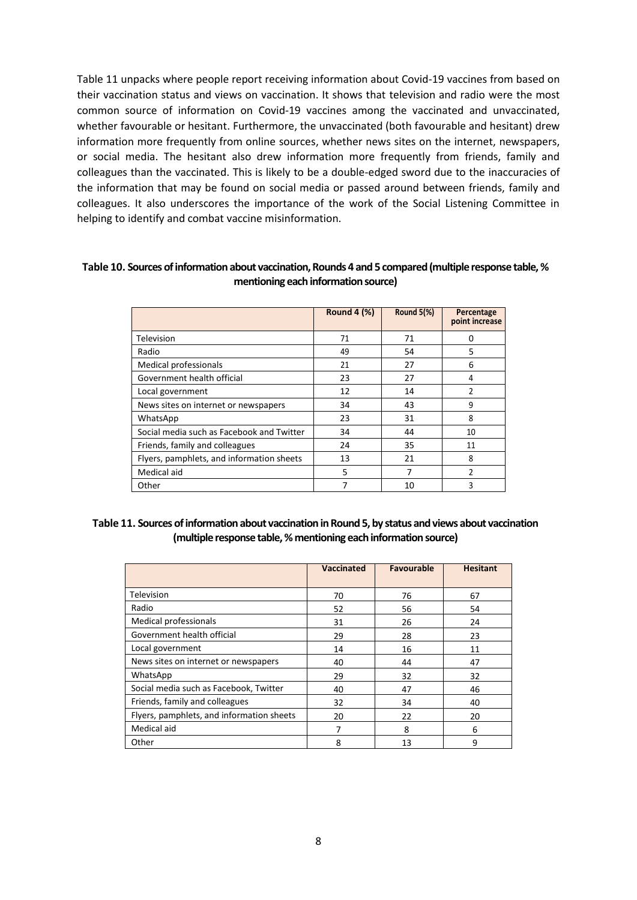Table 11 unpacks where people report receiving information about Covid-19 vaccines from based on their vaccination status and views on vaccination. It shows that television and radio were the most common source of information on Covid-19 vaccines among the vaccinated and unvaccinated, whether favourable or hesitant. Furthermore, the unvaccinated (both favourable and hesitant) drew information more frequently from online sources, whether news sites on the internet, newspapers, or social media. The hesitant also drew information more frequently from friends, family and colleagues than the vaccinated. This is likely to be a double-edged sword due to the inaccuracies of the information that may be found on social media or passed around between friends, family and colleagues. It also underscores the importance of the work of the Social Listening Committee in helping to identify and combat vaccine misinformation.

|                                           | <b>Round 4 (%)</b> | Round 5(%) | Percentage<br>point increase |
|-------------------------------------------|--------------------|------------|------------------------------|
| Television                                | 71                 | 71         | n                            |
| Radio                                     | 49                 | 54         | 5                            |
| <b>Medical professionals</b>              | 21                 | 27         | 6                            |
| Government health official                | 23                 | 27         | 4                            |
| Local government                          | 12                 | 14         | 2                            |
| News sites on internet or newspapers      | 34                 | 43         | 9                            |
| WhatsApp                                  | 23                 | 31         | 8                            |
| Social media such as Facebook and Twitter | 34                 | 44         | 10                           |
| Friends, family and colleagues            | 24                 | 35         | 11                           |
| Flyers, pamphlets, and information sheets | 13                 | 21         | 8                            |
| Medical aid                               | 5                  | 7          | 2                            |
| Other                                     |                    | 10         | 3                            |

#### **Table 10. Sources of information about vaccination, Rounds 4 and 5 compared (multiple response table, % mentioning each information source)**

#### **Table 11. Sources of information about vaccinationin Round 5, by status and views about vaccination (multiple response table, % mentioning each information source)**

|                                           | <b>Vaccinated</b> | <b>Favourable</b> | <b>Hesitant</b> |
|-------------------------------------------|-------------------|-------------------|-----------------|
| Television                                | 70                | 76                | 67              |
| Radio                                     | 52                | 56                | 54              |
| <b>Medical professionals</b>              | 31                | 26                | 24              |
| Government health official                | 29                | 28                | 23              |
| Local government                          | 14                | 16                | 11              |
| News sites on internet or newspapers      | 40                | 44                | 47              |
| WhatsApp                                  | 29                | 32                | 32              |
| Social media such as Facebook, Twitter    | 40                | 47                | 46              |
| Friends, family and colleagues            | 32                | 34                | 40              |
| Flyers, pamphlets, and information sheets | 20                | 22                | 20              |
| Medical aid                               | 7                 | 8                 | 6               |
| Other                                     | 8                 | 13                | 9               |